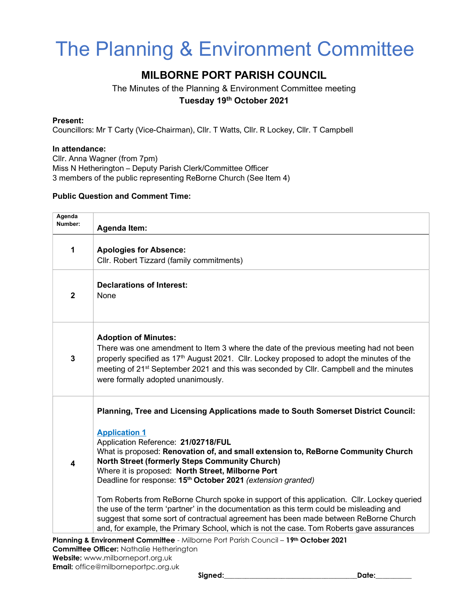# The Planning & Environment Committee

# MILBORNE PORT PARISH COUNCIL

The Minutes of the Planning & Environment Committee meeting Tuesday 19th October 2021

### Present:

Councillors: Mr T Carty (Vice-Chairman), Cllr. T Watts, Cllr. R Lockey, Cllr. T Campbell

#### In attendance:

Cllr. Anna Wagner (from 7pm) Miss N Hetherington – Deputy Parish Clerk/Committee Officer 3 members of the public representing ReBorne Church (See Item 4)

#### Public Question and Comment Time:

| Agenda<br>Number: | <b>Agenda Item:</b>                                                                                                                                                                                                                                                                                                                                                                                                                                                                                                                                                                                                                                                                                                                                                                                           |
|-------------------|---------------------------------------------------------------------------------------------------------------------------------------------------------------------------------------------------------------------------------------------------------------------------------------------------------------------------------------------------------------------------------------------------------------------------------------------------------------------------------------------------------------------------------------------------------------------------------------------------------------------------------------------------------------------------------------------------------------------------------------------------------------------------------------------------------------|
| 1                 | <b>Apologies for Absence:</b><br>Cllr. Robert Tizzard (family commitments)                                                                                                                                                                                                                                                                                                                                                                                                                                                                                                                                                                                                                                                                                                                                    |
| $\boldsymbol{2}$  | <b>Declarations of Interest:</b><br>None                                                                                                                                                                                                                                                                                                                                                                                                                                                                                                                                                                                                                                                                                                                                                                      |
| 3                 | <b>Adoption of Minutes:</b><br>There was one amendment to Item 3 where the date of the previous meeting had not been<br>properly specified as 17 <sup>th</sup> August 2021. Cllr. Lockey proposed to adopt the minutes of the<br>meeting of 21 <sup>st</sup> September 2021 and this was seconded by Cllr. Campbell and the minutes<br>were formally adopted unanimously.                                                                                                                                                                                                                                                                                                                                                                                                                                     |
| 4                 | Planning, Tree and Licensing Applications made to South Somerset District Council:<br><b>Application 1</b><br>Application Reference: 21/02718/FUL<br>What is proposed: Renovation of, and small extension to, ReBorne Community Church<br><b>North Street (formerly Steps Community Church)</b><br>Where it is proposed: North Street, Milborne Port<br>Deadline for response: 15 <sup>th</sup> October 2021 (extension granted)<br>Tom Roberts from ReBorne Church spoke in support of this application. Cllr. Lockey queried<br>the use of the term 'partner' in the documentation as this term could be misleading and<br>suggest that some sort of contractual agreement has been made between ReBorne Church<br>and, for example, the Primary School, which is not the case. Tom Roberts gave assurances |

Planning & Environment Committee - Milborne Port Parish Council - 19th October 2021 Committee Officer: Nathalie Hetherington Website: www.milborneport.org.uk Email: office@milborneportpc.org.uk

Signed:\_\_\_\_\_\_\_\_\_\_\_\_\_\_\_\_\_\_\_\_\_\_\_\_\_\_\_\_\_\_\_\_\_\_\_\_\_Date:\_\_\_\_\_\_\_\_\_\_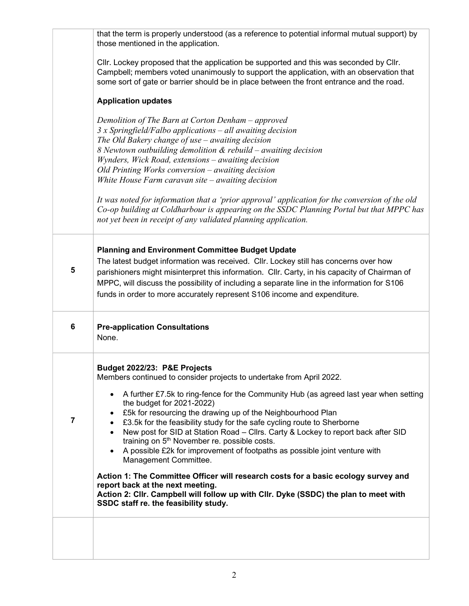|   | that the term is properly understood (as a reference to potential informal mutual support) by<br>those mentioned in the application.                                                                                                                                                                                                                                                                                                                                                                                                                                                                                                                                                                                                                                                                                                                                                    |
|---|-----------------------------------------------------------------------------------------------------------------------------------------------------------------------------------------------------------------------------------------------------------------------------------------------------------------------------------------------------------------------------------------------------------------------------------------------------------------------------------------------------------------------------------------------------------------------------------------------------------------------------------------------------------------------------------------------------------------------------------------------------------------------------------------------------------------------------------------------------------------------------------------|
|   | CIIr. Lockey proposed that the application be supported and this was seconded by CIIr.<br>Campbell; members voted unanimously to support the application, with an observation that<br>some sort of gate or barrier should be in place between the front entrance and the road.                                                                                                                                                                                                                                                                                                                                                                                                                                                                                                                                                                                                          |
|   | <b>Application updates</b>                                                                                                                                                                                                                                                                                                                                                                                                                                                                                                                                                                                                                                                                                                                                                                                                                                                              |
|   | Demolition of The Barn at Corton Denham – approved<br>3 x Springfield/Falbo applications - all awaiting decision<br>The Old Bakery change of use - awaiting decision<br>8 Newtown outbuilding demolition & rebuild – awaiting decision<br>Wynders, Wick Road, extensions - awaiting decision<br>Old Printing Works conversion $-$ awaiting decision<br>White House Farm caravan site $-$ awaiting decision<br>It was noted for information that a 'prior approval' application for the conversion of the old<br>Co-op building at Coldharbour is appearing on the SSDC Planning Portal but that MPPC has<br>not yet been in receipt of any validated planning application.                                                                                                                                                                                                              |
| 5 | <b>Planning and Environment Committee Budget Update</b><br>The latest budget information was received. Cllr. Lockey still has concerns over how<br>parishioners might misinterpret this information. Cllr. Carty, in his capacity of Chairman of<br>MPPC, will discuss the possibility of including a separate line in the information for S106<br>funds in order to more accurately represent S106 income and expenditure.                                                                                                                                                                                                                                                                                                                                                                                                                                                             |
| 6 | <b>Pre-application Consultations</b><br>None.                                                                                                                                                                                                                                                                                                                                                                                                                                                                                                                                                                                                                                                                                                                                                                                                                                           |
| 7 | Budget 2022/23: P&E Projects<br>Members continued to consider projects to undertake from April 2022.<br>A further £7.5k to ring-fence for the Community Hub (as agreed last year when setting<br>the budget for 2021-2022)<br>£5k for resourcing the drawing up of the Neighbourhood Plan<br>£3.5k for the feasibility study for the safe cycling route to Sherborne<br>New post for SID at Station Road - Cllrs. Carty & Lockey to report back after SID<br>training on 5 <sup>th</sup> November re. possible costs.<br>A possible £2k for improvement of footpaths as possible joint venture with<br>Management Committee.<br>Action 1: The Committee Officer will research costs for a basic ecology survey and<br>report back at the next meeting.<br>Action 2: Cllr. Campbell will follow up with Cllr. Dyke (SSDC) the plan to meet with<br>SSDC staff re. the feasibility study. |
|   |                                                                                                                                                                                                                                                                                                                                                                                                                                                                                                                                                                                                                                                                                                                                                                                                                                                                                         |